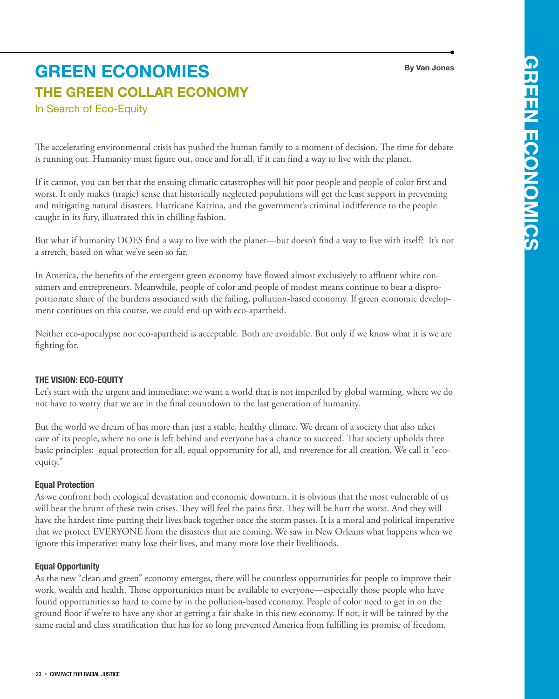**By Van Jones**

# **The Green Collar Economy green economies**

In Search of Eco-Equity

The accelerating environmental crisis has pushed the human family to a moment of decision. The time for debate is running out. Humanity must figure out, once and for all, if it can find a way to live with the planet.

If it cannot, you can bet that the ensuing climatic catastrophes will hit poor people and people of color first and worst. It only makes (tragic) sense that historically neglected populations will get the least support in preventing and mitigating natural disasters. Hurricane Katrina, and the government's criminal indifference to the people caught in its fury, illustrated this in chilling fashion.

But what if humanity DOES find a way to live with the planet—but doesn't find a way to live with itself? It's not a stretch, based on what we've seen so far.

In America, the benefits of the emergent green economy have flowed almost exclusively to affluent white consumers and entrepreneurs. Meanwhile, people of color and people of modest means continue to bear a disproportionate share of the burdens associated with the failing, pollution-based economy. If green economic development continues on this course, we could end up with eco-apartheid.

Neither eco-apocalypse nor eco-apartheid is acceptable. Both are avoidable. But only if we know what it is we are fighting for.

## **The Vision: Eco-Equity**

Let's start with the urgent and immediate: we want a world that is not imperiled by global warming, where we do not have to worry that we are in the final countdown to the last generation of humanity.

But the world we dream of has more than just a stable, healthy climate. We dream of a society that also takes care of its people, where no one is left behind and everyone has a chance to succeed. That society upholds three basic principles: equal protection for all, equal opportunity for all, and reverence for all creation. We call it "ecoequity."

## **Equal Protection**

As we confront both ecological devastation and economic downturn, it is obvious that the most vulnerable of us will bear the brunt of these twin crises. They will feel the pains first. They will be hurt the worst. And they will have the hardest time putting their lives back together once the storm passes. It is a moral and political imperative that we protect EVERYONE from the disasters that are coming. We saw in New Orleans what happens when we ignore this imperative: many lose their lives, and many more lose their livelihoods.

## **Equal Opportunity**

As the new "clean and green" economy emerges, there will be countless opportunities for people to improve their work, wealth and health. Those opportunities must be available to everyone—especially those people who have found opportunities so hard to come by in the pollution-based economy. People of color need to get in on the ground floor if we're to have any shot at getting a fair shake in this new economy. If not, it will be tainted by the same racial and class stratification that has for so long prevented America from fulfilling its promise of freedom.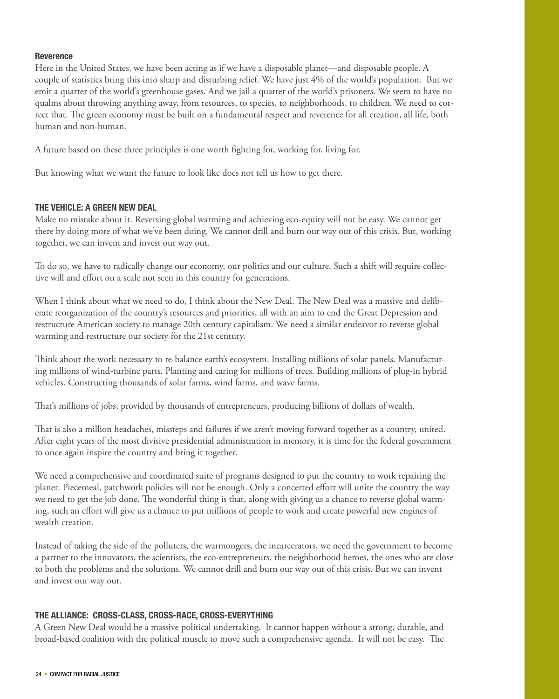## **Reverence**

Here in the United States, we have been acting as if we have a disposable planet—and disposable people. A couple of statistics bring this into sharp and disturbing relief. We have just 4% of the world's population. But we emit a quarter of the world's greenhouse gases. And we jail a quarter of the world's prisoners. We seem to have no qualms about throwing anything away, from resources, to species, to neighborhoods, to children. We need to correct that. The green economy must be built on a fundamental respect and reverence for all creation, all life, both human and non-human.

A future based on these three principles is one worth fighting for, working for, living for.

But knowing what we want the future to look like does not tell us how to get there.

## **The Vehicle: A Green New Deal**

Make no mistake about it. Reversing global warming and achieving eco-equity will not be easy. We cannot get there by doing more of what we've been doing. We cannot drill and burn our way out of this crisis. But, working together, we can invent and invest our way out.

To do so, we have to radically change our economy, our politics and our culture. Such a shift will require collective will and effort on a scale not seen in this country for generations.

When I think about what we need to do, I think about the New Deal. The New Deal was a massive and deliberate reorganization of the country's resources and priorities, all with an aim to end the Great Depression and restructure American society to manage 20th century capitalism. We need a similar endeavor to reverse global warming and restructure our society for the 21st century.

Think about the work necessary to re-balance earth's ecosystem. Installing millions of solar panels. Manufacturing millions of wind-turbine parts. Planting and caring for millions of trees. Building millions of plug-in hybrid vehicles. Constructing thousands of solar farms, wind farms, and wave farms.

That's millions of jobs, provided by thousands of entrepreneurs, producing billions of dollars of wealth.

That is also a million headaches, missteps and failures if we aren't moving forward together as a country, united. After eight years of the most divisive presidential administration in memory, it is time for the federal government to once again inspire the country and bring it together.

We need a comprehensive and coordinated suite of programs designed to put the country to work repairing the planet. Piecemeal, patchwork policies will not be enough. Only a concerted effort will unite the country the way we need to get the job done. The wonderful thing is that, along with giving us a chance to reverse global warming, such an effort will give us a chance to put millions of people to work and create powerful new engines of wealth creation.

Instead of taking the side of the polluters, the warmongers, the incarcerators, we need the government to become a partner to the innovators, the scientists, the eco-entrepreneurs, the neighborhood heroes, the ones who are close to both the problems and the solutions. We cannot drill and burn our way out of this crisis. But we can invent and invest our way out.

#### **The Alliance: Cross-Class, Cross-Race, Cross-Everything**

A Green New Deal would be a massive political undertaking. It cannot happen without a strong, durable, and broad-based coalition with the political muscle to move such a comprehensive agenda. It will not be easy. The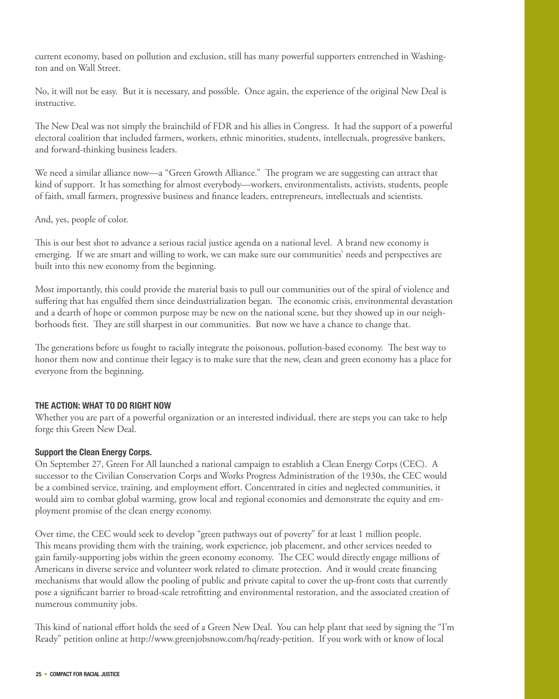current economy, based on pollution and exclusion, still has many powerful supporters entrenched in Washington and on Wall Street.

No, it will not be easy. But it is necessary, and possible. Once again, the experience of the original New Deal is instructive.

The New Deal was not simply the brainchild of FDR and his allies in Congress. It had the support of a powerful electoral coalition that included farmers, workers, ethnic minorities, students, intellectuals, progressive bankers, and forward-thinking business leaders.

We need a similar alliance now—a "Green Growth Alliance." The program we are suggesting can attract that kind of support. It has something for almost everybody—workers, environmentalists, activists, students, people of faith, small farmers, progressive business and finance leaders, entrepreneurs, intellectuals and scientists.

And, yes, people of color.

This is our best shot to advance a serious racial justice agenda on a national level. A brand new economy is emerging. If we are smart and willing to work, we can make sure our communities' needs and perspectives are built into this new economy from the beginning.

Most importantly, this could provide the material basis to pull our communities out of the spiral of violence and suffering that has engulfed them since deindustrialization began. The economic crisis, environmental devastation and a dearth of hope or common purpose may be new on the national scene, but they showed up in our neighborhoods first. They are still sharpest in our communities. But now we have a chance to change that.

The generations before us fought to racially integrate the poisonous, pollution-based economy. The best way to honor them now and continue their legacy is to make sure that the new, clean and green economy has a place for everyone from the beginning.

#### **The Action: What to Do Right Now**

Whether you are part of a powerful organization or an interested individual, there are steps you can take to help forge this Green New Deal.

## **Support the Clean Energy Corps.**

On September 27, Green For All launched a national campaign to establish a Clean Energy Corps (CEC). A successor to the Civilian Conservation Corps and Works Progress Administration of the 1930s, the CEC would be a combined service, training, and employment effort. Concentrated in cities and neglected communities, it would aim to combat global warming, grow local and regional economies and demonstrate the equity and employment promise of the clean energy economy.

Over time, the CEC would seek to develop "green pathways out of poverty" for at least 1 million people. This means providing them with the training, work experience, job placement, and other services needed to gain family-supporting jobs within the green economy economy. The CEC would directly engage millions of Americans in diverse service and volunteer work related to climate protection. And it would create financing mechanisms that would allow the pooling of public and private capital to cover the up-front costs that currently pose a significant barrier to broad-scale retrofitting and environmental restoration, and the associated creation of numerous community jobs.

This kind of national effort holds the seed of a Green New Deal. You can help plant that seed by signing the "I'm Ready" petition online at http://www.greenjobsnow.com/hq/ready-petition. If you work with or know of local